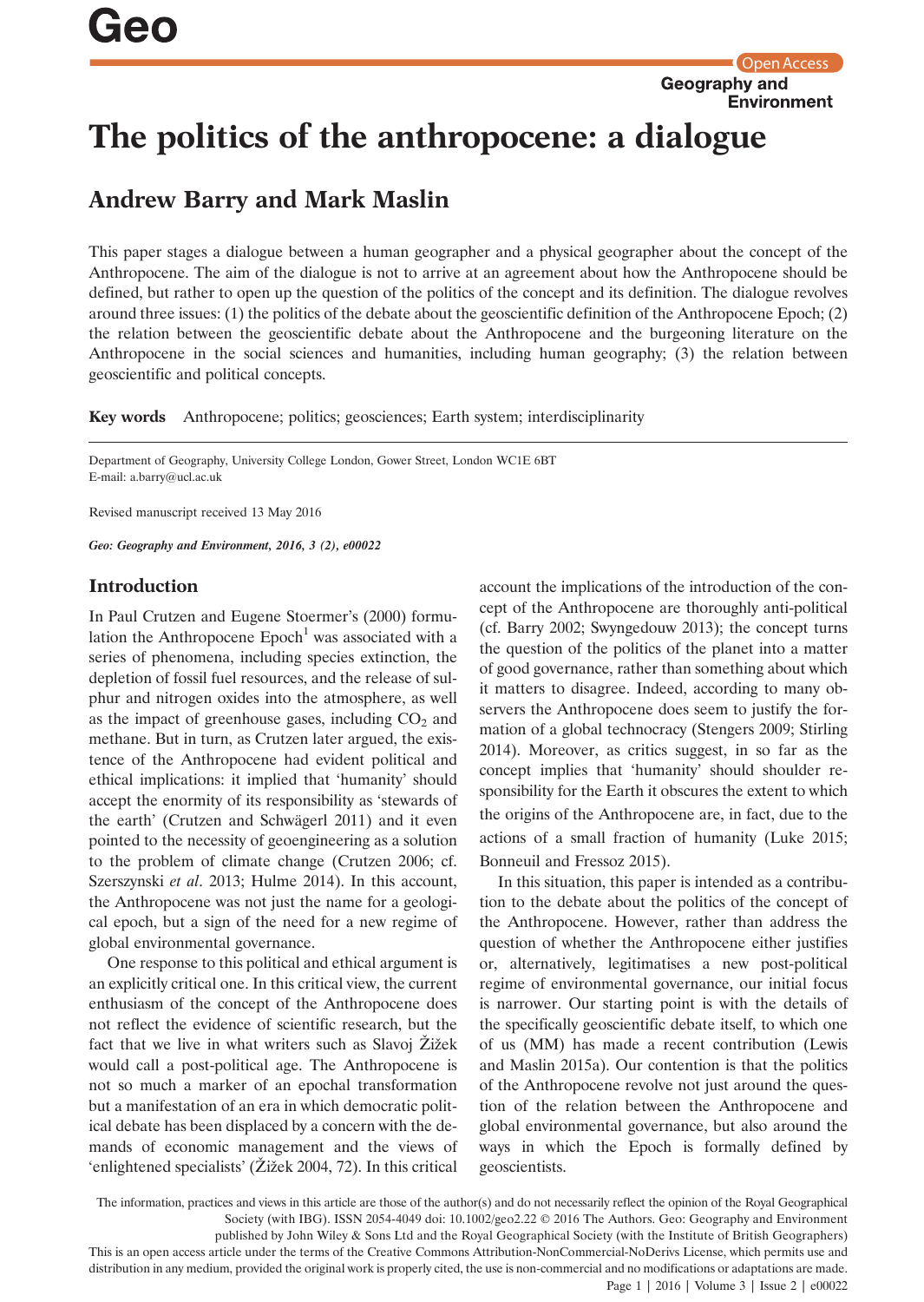# The politics of the anthropocene: a dialogue

## Andrew Barry and Mark Maslin

This paper stages a dialogue between a human geographer and a physical geographer about the concept of the Anthropocene. The aim of the dialogue is not to arrive at an agreement about how the Anthropocene should be defined, but rather to open up the question of the politics of the concept and its definition. The dialogue revolves around three issues: (1) the politics of the debate about the geoscientific definition of the Anthropocene Epoch; (2) the relation between the geoscientific debate about the Anthropocene and the burgeoning literature on the Anthropocene in the social sciences and humanities, including human geography; (3) the relation between geoscientific and political concepts.

Key words Anthropocene; politics; geosciences; Earth system; interdisciplinarity

Department of Geography, University College London, Gower Street, London WC1E 6BT E-mail: a.barry@ucl.ac.uk

Revised manuscript received 13 May 2016

Geo: Geography and Environment, 2016, 3 (2), e00022

### **Introduction**

In Paul Crutzen and Eugene Stoermer's (2000) formulation the Anthropocene  $Epoch<sup>1</sup>$  was associated with a series of phenomena, including species extinction, the depletion of fossil fuel resources, and the release of sulphur and nitrogen oxides into the atmosphere, as well as the impact of greenhouse gases, including  $CO<sub>2</sub>$  and methane. But in turn, as Crutzen later argued, the existence of the Anthropocene had evident political and ethical implications: it implied that 'humanity' should accept the enormity of its responsibility as 'stewards of the earth' (Crutzen and Schwägerl 2011) and it even pointed to the necessity of geoengineering as a solution to the problem of climate change (Crutzen 2006; cf. Szerszynski et al. 2013; Hulme 2014). In this account, the Anthropocene was not just the name for a geological epoch, but a sign of the need for a new regime of global environmental governance.

One response to this political and ethical argument is an explicitly critical one. In this critical view, the current enthusiasm of the concept of the Anthropocene does not reflect the evidence of scientific research, but the fact that we live in what writers such as Slavoj Žižek would call a post-political age. The Anthropocene is not so much a marker of an epochal transformation but a manifestation of an era in which democratic political debate has been displaced by a concern with the demands of economic management and the views of 'enlightened specialists' (Žižek 2004, 72). In this critical

account the implications of the introduction of the concept of the Anthropocene are thoroughly anti-political (cf. Barry 2002; Swyngedouw 2013); the concept turns the question of the politics of the planet into a matter of good governance, rather than something about which it matters to disagree. Indeed, according to many observers the Anthropocene does seem to justify the formation of a global technocracy (Stengers 2009; Stirling 2014). Moreover, as critics suggest, in so far as the concept implies that 'humanity' should shoulder responsibility for the Earth it obscures the extent to which the origins of the Anthropocene are, in fact, due to the actions of a small fraction of humanity (Luke 2015; Bonneuil and Fressoz 2015).

In this situation, this paper is intended as a contribution to the debate about the politics of the concept of the Anthropocene. However, rather than address the question of whether the Anthropocene either justifies or, alternatively, legitimatises a new post-political regime of environmental governance, our initial focus is narrower. Our starting point is with the details of the specifically geoscientific debate itself, to which one of us (MM) has made a recent contribution (Lewis and Maslin 2015a). Our contention is that the politics of the Anthropocene revolve not just around the question of the relation between the Anthropocene and global environmental governance, but also around the ways in which the Epoch is formally defined by geoscientists.

The information, practices and views in this article are those of the author(s) and do not necessarily reflect the opinion of the Royal Geographical Society (with IBG). ISSN 2054-4049 doi: 10.1002/geo2.22 © 2016 The Authors. Geo: Geography and Environment published by John Wiley & Sons Ltd and the Royal Geographical Society (with the Institute of British Geographers)

This is an open access article under the terms of the [Creative Commons Attribution-NonCommercial-NoDerivs](http://creativecommons.org/licenses/by-nc-nd/4.0/) License, which permits use and distribution in any medium, provided the original work is properly cited, the use is non-commercial and no modifications or adaptations are made.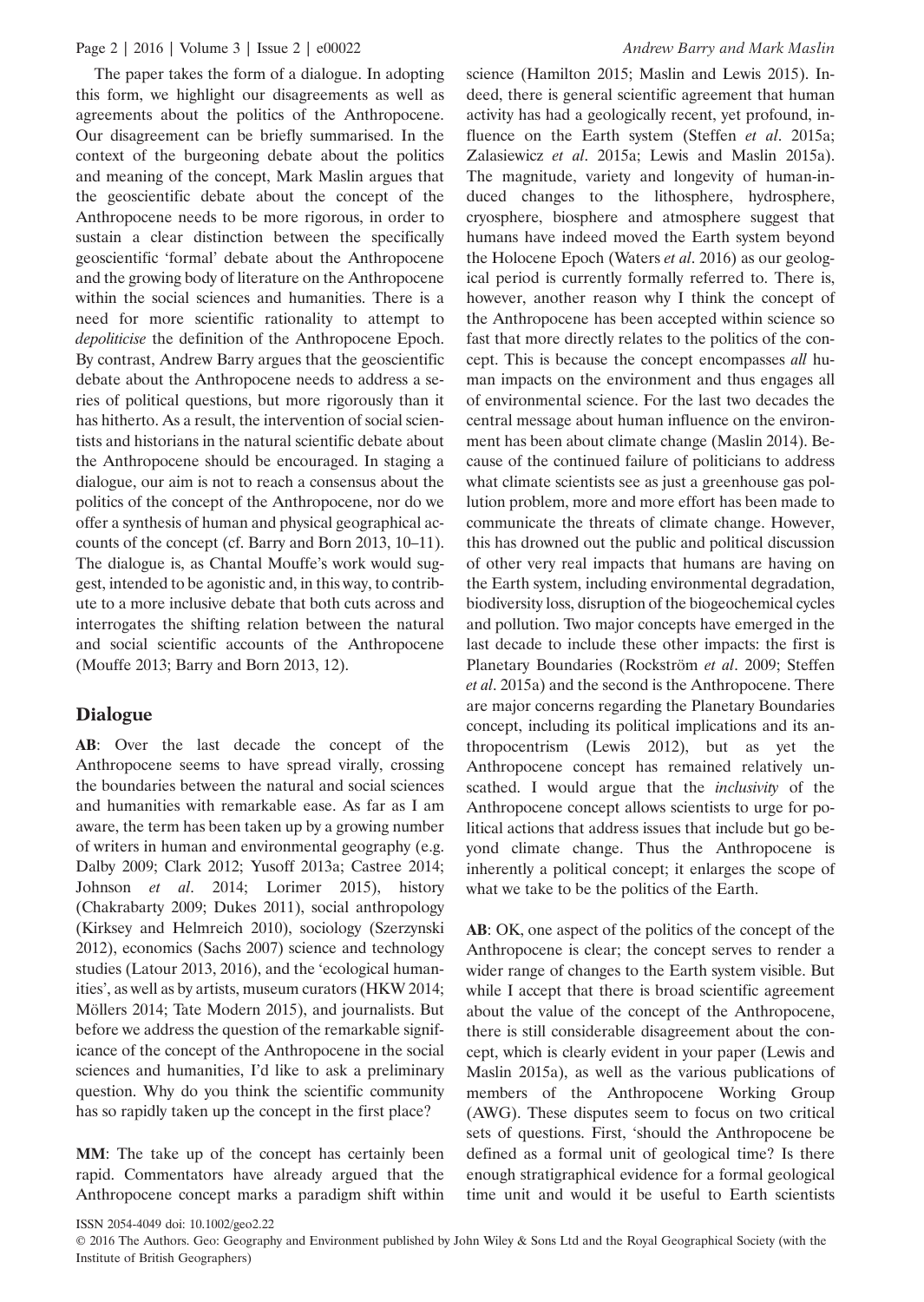The paper takes the form of a dialogue. In adopting this form, we highlight our disagreements as well as agreements about the politics of the Anthropocene. Our disagreement can be briefly summarised. In the context of the burgeoning debate about the politics and meaning of the concept, Mark Maslin argues that the geoscientific debate about the concept of the Anthropocene needs to be more rigorous, in order to sustain a clear distinction between the specifically geoscientific 'formal' debate about the Anthropocene and the growing body of literature on the Anthropocene within the social sciences and humanities. There is a need for more scientific rationality to attempt to depoliticise the definition of the Anthropocene Epoch. By contrast, Andrew Barry argues that the geoscientific debate about the Anthropocene needs to address a series of political questions, but more rigorously than it has hitherto. As a result, the intervention of social scientists and historians in the natural scientific debate about the Anthropocene should be encouraged. In staging a dialogue, our aim is not to reach a consensus about the politics of the concept of the Anthropocene, nor do we offer a synthesis of human and physical geographical accounts of the concept (cf. Barry and Born 2013, 10–11). The dialogue is, as Chantal Mouffe's work would suggest, intended to be agonistic and, in this way, to contribute to a more inclusive debate that both cuts across and interrogates the shifting relation between the natural and social scientific accounts of the Anthropocene (Mouffe 2013; Barry and Born 2013, 12).

### Dialogue

AB: Over the last decade the concept of the Anthropocene seems to have spread virally, crossing the boundaries between the natural and social sciences and humanities with remarkable ease. As far as I am aware, the term has been taken up by a growing number of writers in human and environmental geography (e.g. Dalby 2009; Clark 2012; Yusoff 2013a; Castree 2014; Johnson et al. 2014; Lorimer 2015), history (Chakrabarty 2009; Dukes 2011), social anthropology (Kirksey and Helmreich 2010), sociology (Szerzynski 2012), economics (Sachs 2007) science and technology studies (Latour 2013, 2016), and the 'ecological humanities', as well as by artists, museum curators (HKW 2014; Möllers 2014; Tate Modern 2015), and journalists. But before we address the question of the remarkable significance of the concept of the Anthropocene in the social sciences and humanities, I'd like to ask a preliminary question. Why do you think the scientific community has so rapidly taken up the concept in the first place?

MM: The take up of the concept has certainly been rapid. Commentators have already argued that the Anthropocene concept marks a paradigm shift within science (Hamilton 2015; Maslin and Lewis 2015). Indeed, there is general scientific agreement that human activity has had a geologically recent, yet profound, influence on the Earth system (Steffen et al. 2015a; Zalasiewicz et al. 2015a; Lewis and Maslin 2015a). The magnitude, variety and longevity of human-induced changes to the lithosphere, hydrosphere, cryosphere, biosphere and atmosphere suggest that humans have indeed moved the Earth system beyond the Holocene Epoch (Waters et al. 2016) as our geological period is currently formally referred to. There is, however, another reason why I think the concept of the Anthropocene has been accepted within science so fast that more directly relates to the politics of the concept. This is because the concept encompasses all human impacts on the environment and thus engages all of environmental science. For the last two decades the central message about human influence on the environment has been about climate change (Maslin 2014). Because of the continued failure of politicians to address what climate scientists see as just a greenhouse gas pollution problem, more and more effort has been made to communicate the threats of climate change. However, this has drowned out the public and political discussion of other very real impacts that humans are having on the Earth system, including environmental degradation, biodiversity loss, disruption of the biogeochemical cycles and pollution. Two major concepts have emerged in the last decade to include these other impacts: the first is Planetary Boundaries (Rockström et al. 2009; Steffen et al. 2015a) and the second is the Anthropocene. There are major concerns regarding the Planetary Boundaries concept, including its political implications and its anthropocentrism (Lewis 2012), but as yet the Anthropocene concept has remained relatively unscathed. I would argue that the *inclusivity* of the Anthropocene concept allows scientists to urge for political actions that address issues that include but go beyond climate change. Thus the Anthropocene is inherently a political concept; it enlarges the scope of what we take to be the politics of the Earth.

AB: OK, one aspect of the politics of the concept of the Anthropocene is clear; the concept serves to render a wider range of changes to the Earth system visible. But while I accept that there is broad scientific agreement about the value of the concept of the Anthropocene, there is still considerable disagreement about the concept, which is clearly evident in your paper (Lewis and Maslin 2015a), as well as the various publications of members of the Anthropocene Working Group (AWG). These disputes seem to focus on two critical sets of questions. First, 'should the Anthropocene be defined as a formal unit of geological time? Is there enough stratigraphical evidence for a formal geological time unit and would it be useful to Earth scientists

ISSN 2054-4049 doi: 10.1002/geo2.22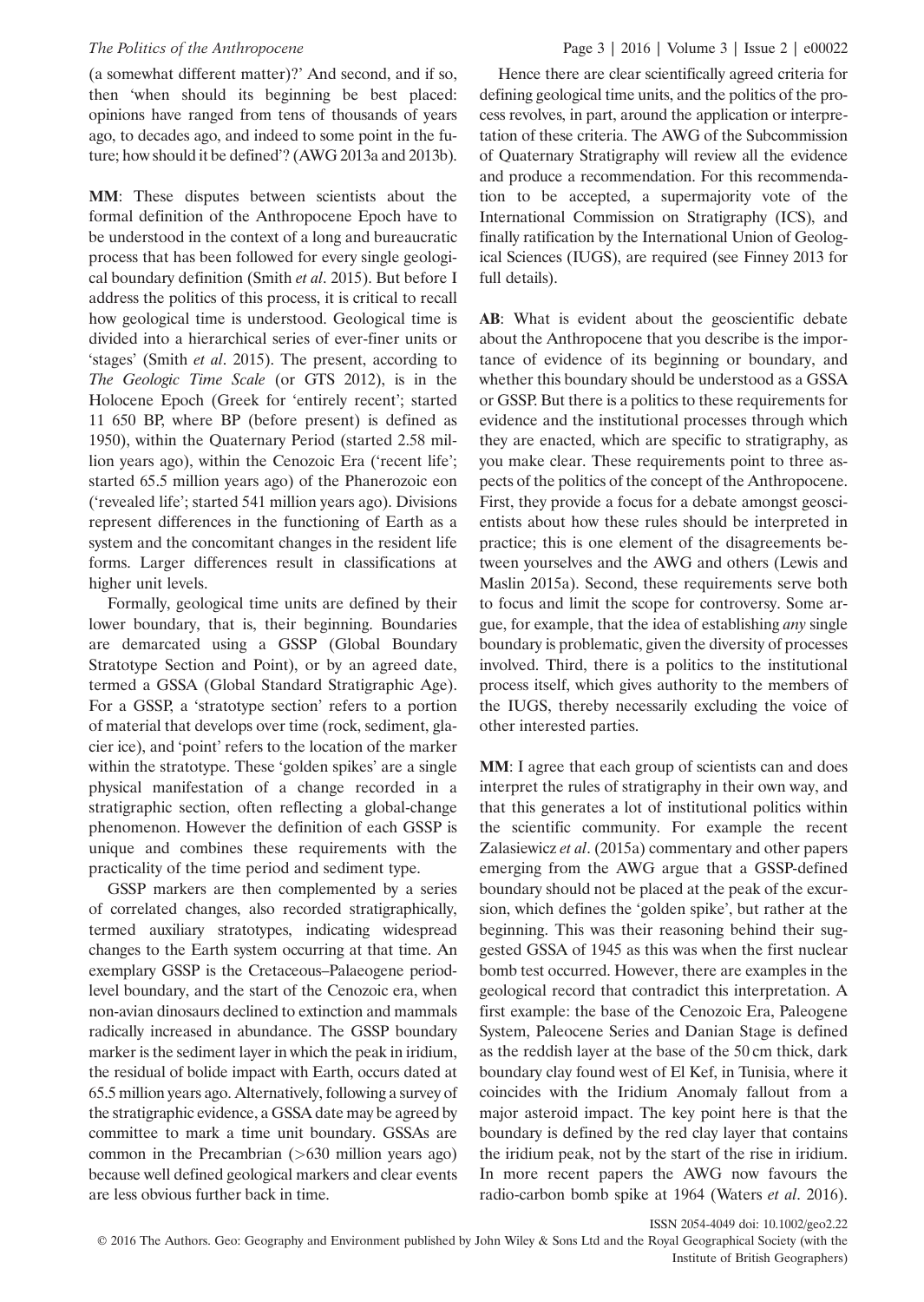(a somewhat different matter)?' And second, and if so, then 'when should its beginning be best placed: opinions have ranged from tens of thousands of years ago, to decades ago, and indeed to some point in the future; how should it be defined'? (AWG 2013a and 2013b).

MM: These disputes between scientists about the formal definition of the Anthropocene Epoch have to be understood in the context of a long and bureaucratic process that has been followed for every single geological boundary definition (Smith et al. 2015). But before I address the politics of this process, it is critical to recall how geological time is understood. Geological time is divided into a hierarchical series of ever-finer units or 'stages' (Smith et al. 2015). The present, according to The Geologic Time Scale (or GTS 2012), is in the Holocene Epoch (Greek for 'entirely recent'; started 11 650 BP, where BP (before present) is defined as 1950), within the Quaternary Period (started 2.58 million years ago), within the Cenozoic Era ('recent life'; started 65.5 million years ago) of the Phanerozoic eon ('revealed life'; started 541 million years ago). Divisions represent differences in the functioning of Earth as a system and the concomitant changes in the resident life forms. Larger differences result in classifications at higher unit levels.

Formally, geological time units are defined by their lower boundary, that is, their beginning. Boundaries are demarcated using a GSSP (Global Boundary Stratotype Section and Point), or by an agreed date, termed a GSSA (Global Standard Stratigraphic Age). For a GSSP, a 'stratotype section' refers to a portion of material that develops over time (rock, sediment, glacier ice), and 'point' refers to the location of the marker within the stratotype. These 'golden spikes' are a single physical manifestation of a change recorded in a stratigraphic section, often reflecting a global-change phenomenon. However the definition of each GSSP is unique and combines these requirements with the practicality of the time period and sediment type.

GSSP markers are then complemented by a series of correlated changes, also recorded stratigraphically, termed auxiliary stratotypes, indicating widespread changes to the Earth system occurring at that time. An exemplary GSSP is the Cretaceous–Palaeogene periodlevel boundary, and the start of the Cenozoic era, when non-avian dinosaurs declined to extinction and mammals radically increased in abundance. The GSSP boundary marker is the sediment layer in which the peak in iridium, the residual of bolide impact with Earth, occurs dated at 65.5 million years ago. Alternatively, following a survey of the stratigraphic evidence, a GSSA date may be agreed by committee to mark a time unit boundary. GSSAs are common in the Precambrian (>630 million years ago) because well defined geological markers and clear events are less obvious further back in time.

Hence there are clear scientifically agreed criteria for defining geological time units, and the politics of the process revolves, in part, around the application or interpretation of these criteria. The AWG of the Subcommission of Quaternary Stratigraphy will review all the evidence and produce a recommendation. For this recommendation to be accepted, a supermajority vote of the International Commission on Stratigraphy (ICS), and finally ratification by the International Union of Geological Sciences (IUGS), are required (see Finney 2013 for full details).

AB: What is evident about the geoscientific debate about the Anthropocene that you describe is the importance of evidence of its beginning or boundary, and whether this boundary should be understood as a GSSA or GSSP. But there is a politics to these requirements for evidence and the institutional processes through which they are enacted, which are specific to stratigraphy, as you make clear. These requirements point to three aspects of the politics of the concept of the Anthropocene. First, they provide a focus for a debate amongst geoscientists about how these rules should be interpreted in practice; this is one element of the disagreements between yourselves and the AWG and others (Lewis and Maslin 2015a). Second, these requirements serve both to focus and limit the scope for controversy. Some argue, for example, that the idea of establishing any single boundary is problematic, given the diversity of processes involved. Third, there is a politics to the institutional process itself, which gives authority to the members of the IUGS, thereby necessarily excluding the voice of other interested parties.

MM: I agree that each group of scientists can and does interpret the rules of stratigraphy in their own way, and that this generates a lot of institutional politics within the scientific community. For example the recent Zalasiewicz et al. (2015a) commentary and other papers emerging from the AWG argue that a GSSP-defined boundary should not be placed at the peak of the excursion, which defines the 'golden spike', but rather at the beginning. This was their reasoning behind their suggested GSSA of 1945 as this was when the first nuclear bomb test occurred. However, there are examples in the geological record that contradict this interpretation. A first example: the base of the Cenozoic Era, Paleogene System, Paleocene Series and Danian Stage is defined as the reddish layer at the base of the 50 cm thick, dark boundary clay found west of El Kef, in Tunisia, where it coincides with the Iridium Anomaly fallout from a major asteroid impact. The key point here is that the boundary is defined by the red clay layer that contains the iridium peak, not by the start of the rise in iridium. In more recent papers the AWG now favours the radio-carbon bomb spike at 1964 (Waters et al. 2016).

ISSN 2054-4049 doi: 10.1002/geo2.22

<sup>© 2016</sup> The Authors. Geo: Geography and Environment published by John Wiley & Sons Ltd and the Royal Geographical Society (with the Institute of British Geographers)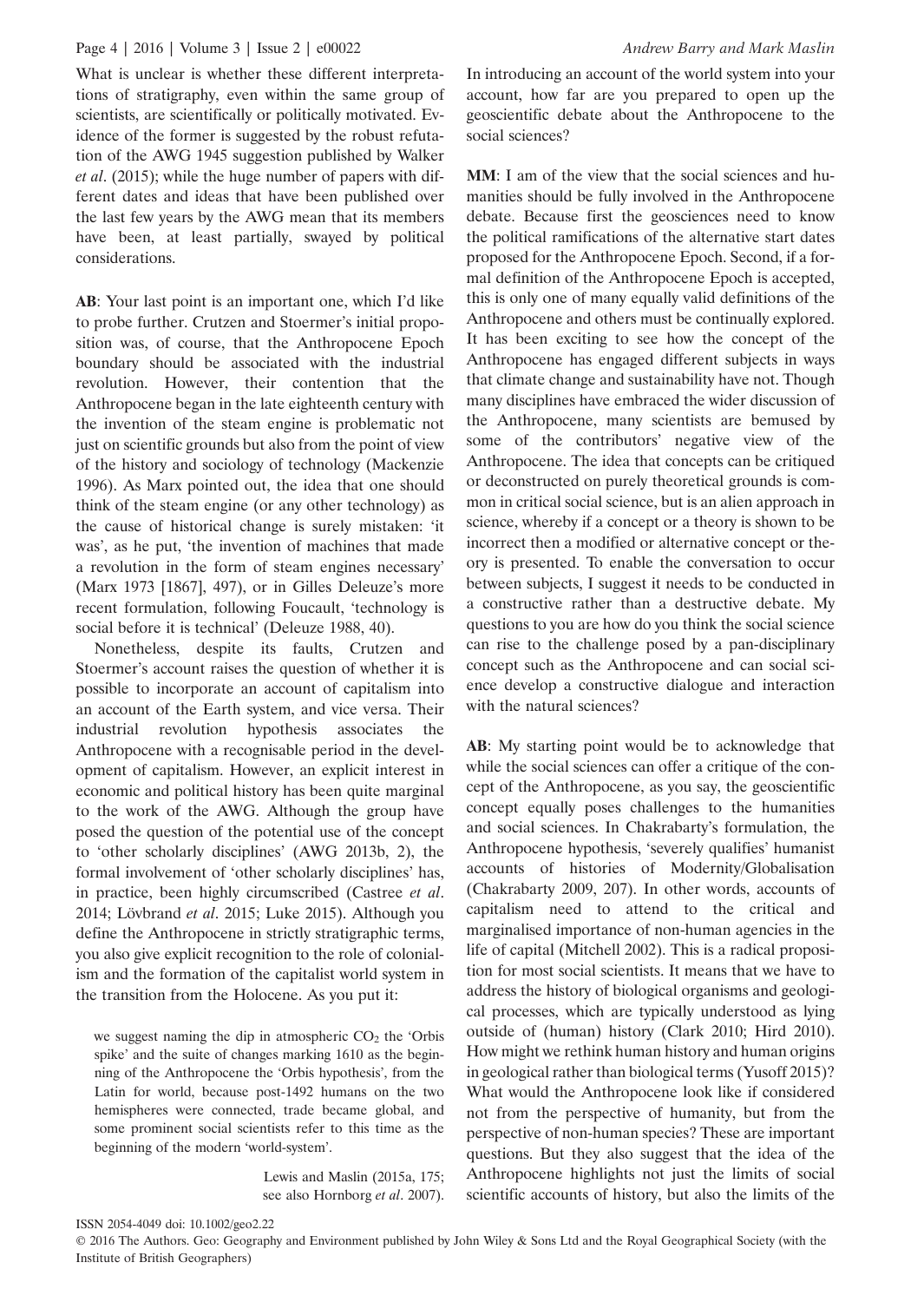What is unclear is whether these different interpretations of stratigraphy, even within the same group of scientists, are scientifically or politically motivated. Evidence of the former is suggested by the robust refutation of the AWG 1945 suggestion published by Walker et al. (2015); while the huge number of papers with different dates and ideas that have been published over the last few years by the AWG mean that its members have been, at least partially, swayed by political considerations.

AB: Your last point is an important one, which I'd like to probe further. Crutzen and Stoermer's initial proposition was, of course, that the Anthropocene Epoch boundary should be associated with the industrial revolution. However, their contention that the Anthropocene began in the late eighteenth century with the invention of the steam engine is problematic not just on scientific grounds but also from the point of view of the history and sociology of technology (Mackenzie 1996). As Marx pointed out, the idea that one should think of the steam engine (or any other technology) as the cause of historical change is surely mistaken: 'it was', as he put, 'the invention of machines that made a revolution in the form of steam engines necessary' (Marx 1973 [1867], 497), or in Gilles Deleuze's more recent formulation, following Foucault, 'technology is social before it is technical' (Deleuze 1988, 40).

Nonetheless, despite its faults, Crutzen and Stoermer's account raises the question of whether it is possible to incorporate an account of capitalism into an account of the Earth system, and vice versa. Their industrial revolution hypothesis associates the Anthropocene with a recognisable period in the development of capitalism. However, an explicit interest in economic and political history has been quite marginal to the work of the AWG. Although the group have posed the question of the potential use of the concept to 'other scholarly disciplines' (AWG 2013b, 2), the formal involvement of 'other scholarly disciplines' has, in practice, been highly circumscribed (Castree et al. 2014; Lövbrand et al. 2015; Luke 2015). Although you define the Anthropocene in strictly stratigraphic terms, you also give explicit recognition to the role of colonialism and the formation of the capitalist world system in the transition from the Holocene. As you put it:

we suggest naming the dip in atmospheric  $CO<sub>2</sub>$  the 'Orbis spike' and the suite of changes marking 1610 as the beginning of the Anthropocene the 'Orbis hypothesis', from the Latin for world, because post-1492 humans on the two hemispheres were connected, trade became global, and some prominent social scientists refer to this time as the beginning of the modern 'world-system'.

> Lewis and Maslin (2015a, 175; see also Hornborg et al. 2007).

In introducing an account of the world system into your account, how far are you prepared to open up the geoscientific debate about the Anthropocene to the social sciences?

MM: I am of the view that the social sciences and humanities should be fully involved in the Anthropocene debate. Because first the geosciences need to know the political ramifications of the alternative start dates proposed for the Anthropocene Epoch. Second, if a formal definition of the Anthropocene Epoch is accepted, this is only one of many equally valid definitions of the Anthropocene and others must be continually explored. It has been exciting to see how the concept of the Anthropocene has engaged different subjects in ways that climate change and sustainability have not. Though many disciplines have embraced the wider discussion of the Anthropocene, many scientists are bemused by some of the contributors' negative view of the Anthropocene. The idea that concepts can be critiqued or deconstructed on purely theoretical grounds is common in critical social science, but is an alien approach in science, whereby if a concept or a theory is shown to be incorrect then a modified or alternative concept or theory is presented. To enable the conversation to occur between subjects, I suggest it needs to be conducted in a constructive rather than a destructive debate. My questions to you are how do you think the social science can rise to the challenge posed by a pan-disciplinary concept such as the Anthropocene and can social science develop a constructive dialogue and interaction with the natural sciences?

AB: My starting point would be to acknowledge that while the social sciences can offer a critique of the concept of the Anthropocene, as you say, the geoscientific concept equally poses challenges to the humanities and social sciences. In Chakrabarty's formulation, the Anthropocene hypothesis, 'severely qualifies' humanist accounts of histories of Modernity/Globalisation (Chakrabarty 2009, 207). In other words, accounts of capitalism need to attend to the critical and marginalised importance of non-human agencies in the life of capital (Mitchell 2002). This is a radical proposition for most social scientists. It means that we have to address the history of biological organisms and geological processes, which are typically understood as lying outside of (human) history (Clark 2010; Hird 2010). How might we rethink human history and human origins in geological rather than biological terms (Yusoff 2015)? What would the Anthropocene look like if considered not from the perspective of humanity, but from the perspective of non-human species? These are important questions. But they also suggest that the idea of the Anthropocene highlights not just the limits of social scientific accounts of history, but also the limits of the

ISSN 2054-4049 doi: 10.1002/geo2.22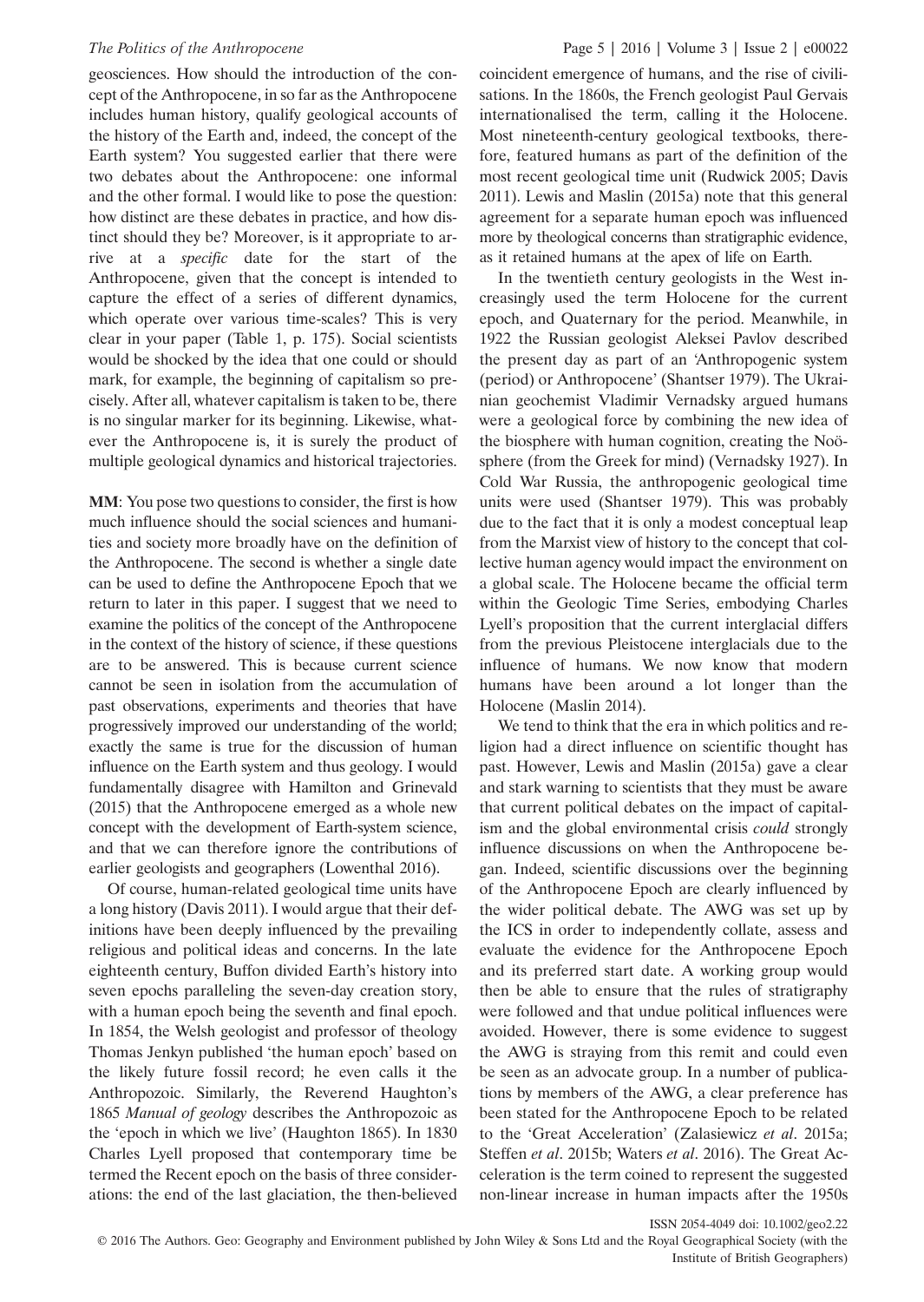geosciences. How should the introduction of the concept of the Anthropocene, in so far as the Anthropocene includes human history, qualify geological accounts of the history of the Earth and, indeed, the concept of the Earth system? You suggested earlier that there were two debates about the Anthropocene: one informal and the other formal. I would like to pose the question: how distinct are these debates in practice, and how distinct should they be? Moreover, is it appropriate to arrive at a specific date for the start of the Anthropocene, given that the concept is intended to capture the effect of a series of different dynamics, which operate over various time-scales? This is very clear in your paper (Table 1, p. 175). Social scientists would be shocked by the idea that one could or should mark, for example, the beginning of capitalism so precisely. After all, whatever capitalism is taken to be, there is no singular marker for its beginning. Likewise, whatever the Anthropocene is, it is surely the product of multiple geological dynamics and historical trajectories.

MM: You pose two questions to consider, the first is how much influence should the social sciences and humanities and society more broadly have on the definition of the Anthropocene. The second is whether a single date can be used to define the Anthropocene Epoch that we return to later in this paper. I suggest that we need to examine the politics of the concept of the Anthropocene in the context of the history of science, if these questions are to be answered. This is because current science cannot be seen in isolation from the accumulation of past observations, experiments and theories that have progressively improved our understanding of the world; exactly the same is true for the discussion of human influence on the Earth system and thus geology. I would fundamentally disagree with Hamilton and Grinevald (2015) that the Anthropocene emerged as a whole new concept with the development of Earth-system science, and that we can therefore ignore the contributions of earlier geologists and geographers (Lowenthal 2016).

Of course, human-related geological time units have a long history (Davis 2011). I would argue that their definitions have been deeply influenced by the prevailing religious and political ideas and concerns. In the late eighteenth century, Buffon divided Earth's history into seven epochs paralleling the seven-day creation story, with a human epoch being the seventh and final epoch. In 1854, the Welsh geologist and professor of theology Thomas Jenkyn published 'the human epoch' based on the likely future fossil record; he even calls it the Anthropozoic. Similarly, the Reverend Haughton's 1865 Manual of geology describes the Anthropozoic as the 'epoch in which we live' (Haughton 1865). In 1830 Charles Lyell proposed that contemporary time be termed the Recent epoch on the basis of three considerations: the end of the last glaciation, the then-believed coincident emergence of humans, and the rise of civilisations. In the 1860s, the French geologist Paul Gervais internationalised the term, calling it the Holocene. Most nineteenth-century geological textbooks, therefore, featured humans as part of the definition of the most recent geological time unit (Rudwick 2005; Davis 2011). Lewis and Maslin (2015a) note that this general agreement for a separate human epoch was influenced more by theological concerns than stratigraphic evidence, as it retained humans at the apex of life on Earth.

In the twentieth century geologists in the West increasingly used the term Holocene for the current epoch, and Quaternary for the period. Meanwhile, in 1922 the Russian geologist Aleksei Pavlov described the present day as part of an 'Anthropogenic system (period) or Anthropocene' (Shantser 1979). The Ukrainian geochemist Vladimir Vernadsky argued humans were a geological force by combining the new idea of the biosphere with human cognition, creating the Noösphere (from the Greek for mind) (Vernadsky 1927). In Cold War Russia, the anthropogenic geological time units were used (Shantser 1979). This was probably due to the fact that it is only a modest conceptual leap from the Marxist view of history to the concept that collective human agency would impact the environment on a global scale. The Holocene became the official term within the Geologic Time Series, embodying Charles Lyell's proposition that the current interglacial differs from the previous Pleistocene interglacials due to the influence of humans. We now know that modern humans have been around a lot longer than the Holocene (Maslin 2014).

We tend to think that the era in which politics and religion had a direct influence on scientific thought has past. However, Lewis and Maslin (2015a) gave a clear and stark warning to scientists that they must be aware that current political debates on the impact of capitalism and the global environmental crisis could strongly influence discussions on when the Anthropocene began. Indeed, scientific discussions over the beginning of the Anthropocene Epoch are clearly influenced by the wider political debate. The AWG was set up by the ICS in order to independently collate, assess and evaluate the evidence for the Anthropocene Epoch and its preferred start date. A working group would then be able to ensure that the rules of stratigraphy were followed and that undue political influences were avoided. However, there is some evidence to suggest the AWG is straying from this remit and could even be seen as an advocate group. In a number of publications by members of the AWG, a clear preference has been stated for the Anthropocene Epoch to be related to the 'Great Acceleration' (Zalasiewicz et al. 2015a; Steffen et al. 2015b; Waters et al. 2016). The Great Acceleration is the term coined to represent the suggested non-linear increase in human impacts after the 1950s

ISSN 2054-4049 doi: 10.1002/geo2.22

<sup>© 2016</sup> The Authors. Geo: Geography and Environment published by John Wiley & Sons Ltd and the Royal Geographical Society (with the Institute of British Geographers)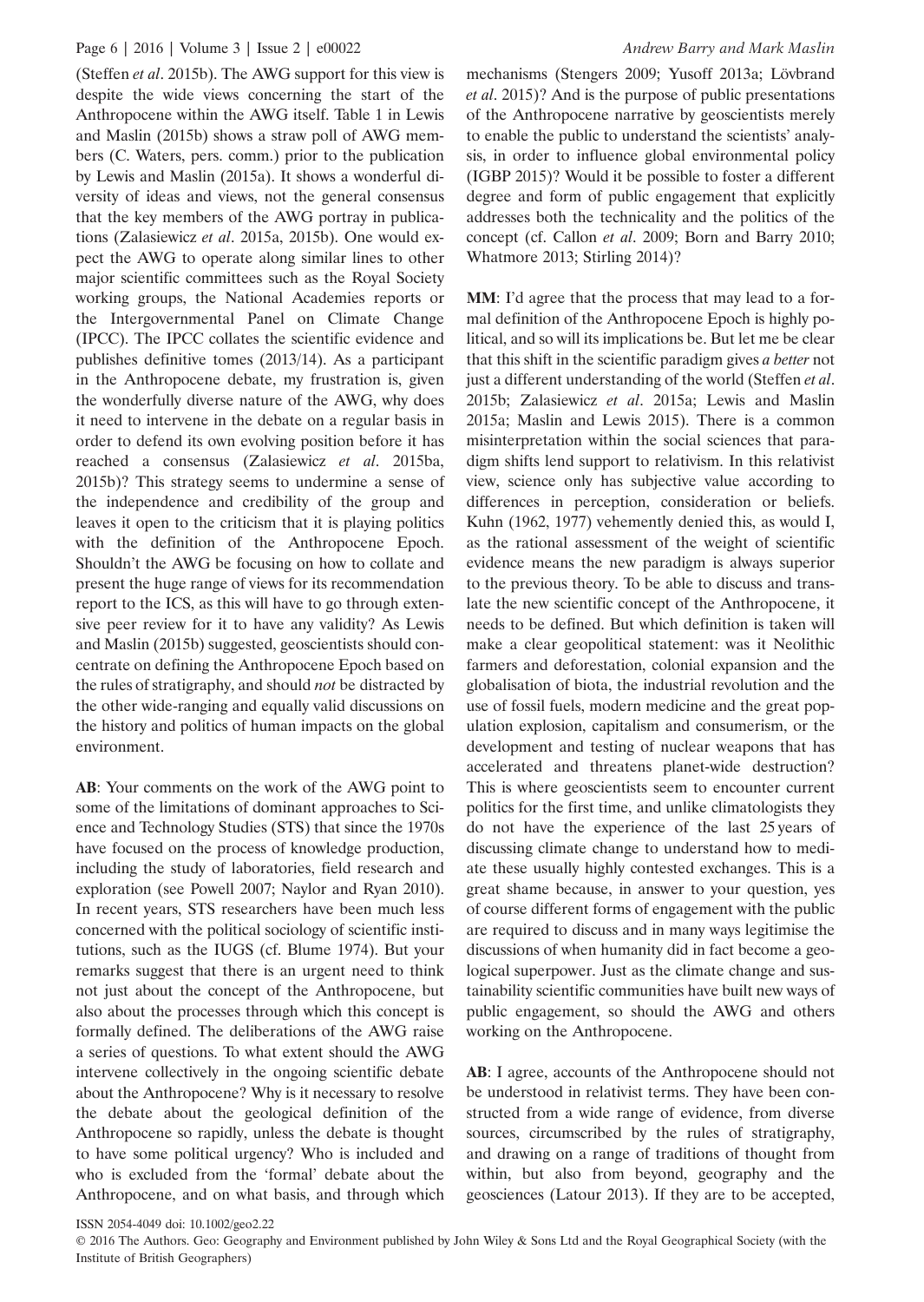### Page 6 | 2016 | Volume 3 | Issue 2 | e00022 Andrew Barry and Mark Maslin

(Steffen et al. 2015b). The AWG support for this view is despite the wide views concerning the start of the Anthropocene within the AWG itself. Table 1 in Lewis and Maslin (2015b) shows a straw poll of AWG members (C. Waters, pers. comm.) prior to the publication by Lewis and Maslin (2015a). It shows a wonderful diversity of ideas and views, not the general consensus that the key members of the AWG portray in publications (Zalasiewicz et al. 2015a, 2015b). One would expect the AWG to operate along similar lines to other major scientific committees such as the Royal Society working groups, the National Academies reports or the Intergovernmental Panel on Climate Change (IPCC). The IPCC collates the scientific evidence and publishes definitive tomes (2013/14). As a participant in the Anthropocene debate, my frustration is, given the wonderfully diverse nature of the AWG, why does it need to intervene in the debate on a regular basis in order to defend its own evolving position before it has reached a consensus (Zalasiewicz et al. 2015ba, 2015b)? This strategy seems to undermine a sense of the independence and credibility of the group and leaves it open to the criticism that it is playing politics with the definition of the Anthropocene Epoch. Shouldn't the AWG be focusing on how to collate and present the huge range of views for its recommendation report to the ICS, as this will have to go through extensive peer review for it to have any validity? As Lewis and Maslin (2015b) suggested, geoscientists should concentrate on defining the Anthropocene Epoch based on the rules of stratigraphy, and should not be distracted by the other wide-ranging and equally valid discussions on the history and politics of human impacts on the global environment.

AB: Your comments on the work of the AWG point to some of the limitations of dominant approaches to Science and Technology Studies (STS) that since the 1970s have focused on the process of knowledge production, including the study of laboratories, field research and exploration (see Powell 2007; Naylor and Ryan 2010). In recent years, STS researchers have been much less concerned with the political sociology of scientific institutions, such as the IUGS (cf. Blume 1974). But your remarks suggest that there is an urgent need to think not just about the concept of the Anthropocene, but also about the processes through which this concept is formally defined. The deliberations of the AWG raise a series of questions. To what extent should the AWG intervene collectively in the ongoing scientific debate about the Anthropocene? Why is it necessary to resolve the debate about the geological definition of the Anthropocene so rapidly, unless the debate is thought to have some political urgency? Who is included and who is excluded from the 'formal' debate about the Anthropocene, and on what basis, and through which

mechanisms (Stengers 2009; Yusoff 2013a; Lövbrand et al. 2015)? And is the purpose of public presentations of the Anthropocene narrative by geoscientists merely to enable the public to understand the scientists' analysis, in order to influence global environmental policy (IGBP 2015)? Would it be possible to foster a different degree and form of public engagement that explicitly addresses both the technicality and the politics of the concept (cf. Callon et al. 2009; Born and Barry 2010; Whatmore 2013; Stirling 2014)?

MM: I'd agree that the process that may lead to a formal definition of the Anthropocene Epoch is highly political, and so will its implications be. But let me be clear that this shift in the scientific paradigm gives a better not just a different understanding of the world (Steffen et al. 2015b; Zalasiewicz et al. 2015a; Lewis and Maslin 2015a; Maslin and Lewis 2015). There is a common misinterpretation within the social sciences that paradigm shifts lend support to relativism. In this relativist view, science only has subjective value according to differences in perception, consideration or beliefs. Kuhn (1962, 1977) vehemently denied this, as would I, as the rational assessment of the weight of scientific evidence means the new paradigm is always superior to the previous theory. To be able to discuss and translate the new scientific concept of the Anthropocene, it needs to be defined. But which definition is taken will make a clear geopolitical statement: was it Neolithic farmers and deforestation, colonial expansion and the globalisation of biota, the industrial revolution and the use of fossil fuels, modern medicine and the great population explosion, capitalism and consumerism, or the development and testing of nuclear weapons that has accelerated and threatens planet-wide destruction? This is where geoscientists seem to encounter current politics for the first time, and unlike climatologists they do not have the experience of the last 25 years of discussing climate change to understand how to mediate these usually highly contested exchanges. This is a great shame because, in answer to your question, yes of course different forms of engagement with the public are required to discuss and in many ways legitimise the discussions of when humanity did in fact become a geological superpower. Just as the climate change and sustainability scientific communities have built new ways of public engagement, so should the AWG and others working on the Anthropocene.

AB: I agree, accounts of the Anthropocene should not be understood in relativist terms. They have been constructed from a wide range of evidence, from diverse sources, circumscribed by the rules of stratigraphy, and drawing on a range of traditions of thought from within, but also from beyond, geography and the geosciences (Latour 2013). If they are to be accepted,

ISSN 2054-4049 doi: 10.1002/geo2.22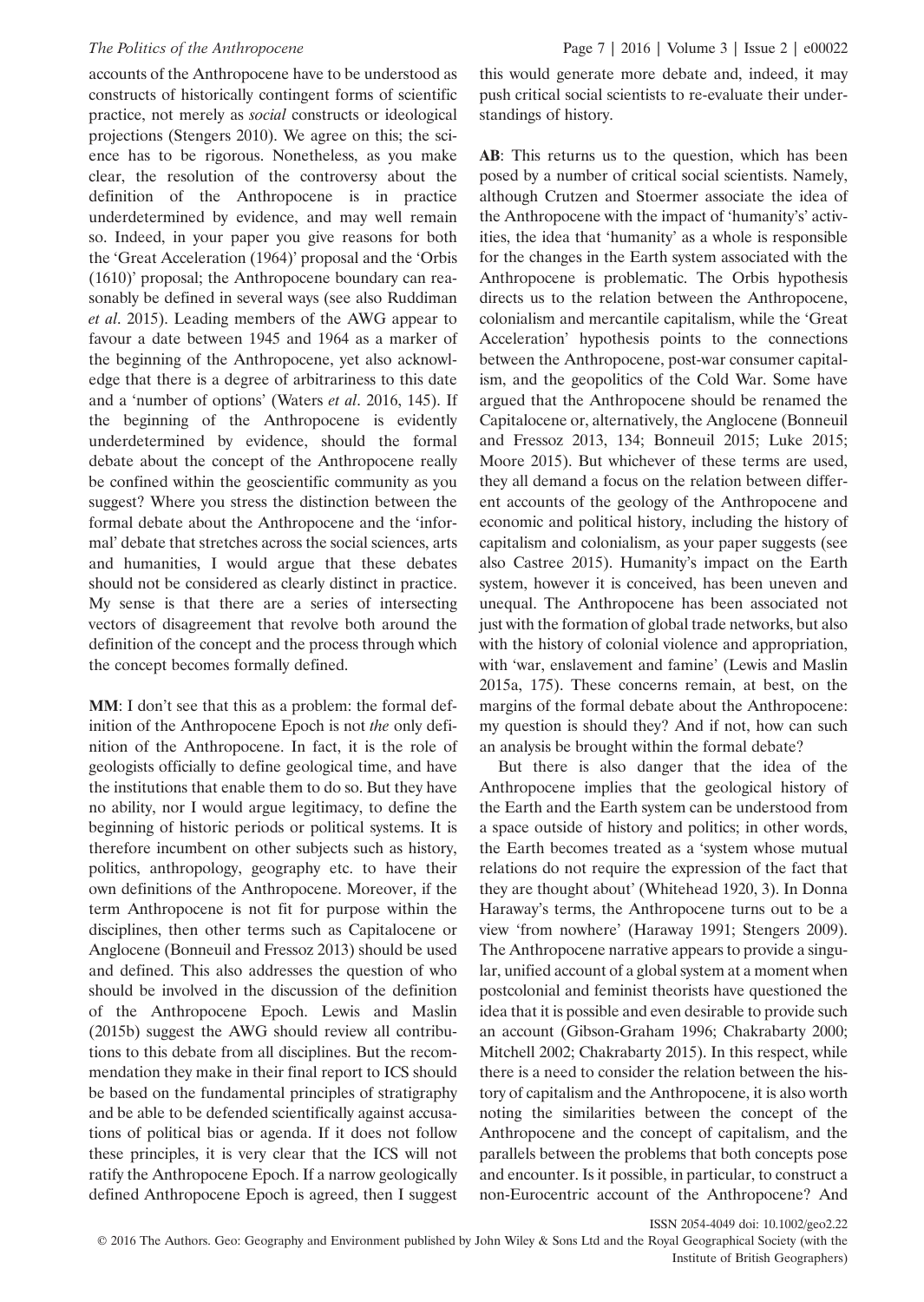accounts of the Anthropocene have to be understood as constructs of historically contingent forms of scientific practice, not merely as social constructs or ideological projections (Stengers 2010). We agree on this; the science has to be rigorous. Nonetheless, as you make clear, the resolution of the controversy about the definition of the Anthropocene is in practice underdetermined by evidence, and may well remain so. Indeed, in your paper you give reasons for both the 'Great Acceleration (1964)' proposal and the 'Orbis (1610)' proposal; the Anthropocene boundary can reasonably be defined in several ways (see also Ruddiman et al. 2015). Leading members of the AWG appear to favour a date between 1945 and 1964 as a marker of the beginning of the Anthropocene, yet also acknowledge that there is a degree of arbitrariness to this date and a 'number of options' (Waters et al. 2016, 145). If the beginning of the Anthropocene is evidently underdetermined by evidence, should the formal debate about the concept of the Anthropocene really be confined within the geoscientific community as you suggest? Where you stress the distinction between the formal debate about the Anthropocene and the 'informal' debate that stretches across the social sciences, arts and humanities, I would argue that these debates should not be considered as clearly distinct in practice. My sense is that there are a series of intersecting vectors of disagreement that revolve both around the definition of the concept and the process through which the concept becomes formally defined.

MM: I don't see that this as a problem: the formal definition of the Anthropocene Epoch is not the only definition of the Anthropocene. In fact, it is the role of geologists officially to define geological time, and have the institutions that enable them to do so. But they have no ability, nor I would argue legitimacy, to define the beginning of historic periods or political systems. It is therefore incumbent on other subjects such as history, politics, anthropology, geography etc. to have their own definitions of the Anthropocene. Moreover, if the term Anthropocene is not fit for purpose within the disciplines, then other terms such as Capitalocene or Anglocene (Bonneuil and Fressoz 2013) should be used and defined. This also addresses the question of who should be involved in the discussion of the definition of the Anthropocene Epoch. Lewis and Maslin (2015b) suggest the AWG should review all contributions to this debate from all disciplines. But the recommendation they make in their final report to ICS should be based on the fundamental principles of stratigraphy and be able to be defended scientifically against accusations of political bias or agenda. If it does not follow these principles, it is very clear that the ICS will not ratify the Anthropocene Epoch. If a narrow geologically defined Anthropocene Epoch is agreed, then I suggest this would generate more debate and, indeed, it may push critical social scientists to re-evaluate their understandings of history.

AB: This returns us to the question, which has been posed by a number of critical social scientists. Namely, although Crutzen and Stoermer associate the idea of the Anthropocene with the impact of 'humanity's' activities, the idea that 'humanity' as a whole is responsible for the changes in the Earth system associated with the Anthropocene is problematic. The Orbis hypothesis directs us to the relation between the Anthropocene, colonialism and mercantile capitalism, while the 'Great Acceleration' hypothesis points to the connections between the Anthropocene, post-war consumer capitalism, and the geopolitics of the Cold War. Some have argued that the Anthropocene should be renamed the Capitalocene or, alternatively, the Anglocene (Bonneuil and Fressoz 2013, 134; Bonneuil 2015; Luke 2015; Moore 2015). But whichever of these terms are used, they all demand a focus on the relation between different accounts of the geology of the Anthropocene and economic and political history, including the history of capitalism and colonialism, as your paper suggests (see also Castree 2015). Humanity's impact on the Earth system, however it is conceived, has been uneven and unequal. The Anthropocene has been associated not just with the formation of global trade networks, but also with the history of colonial violence and appropriation, with 'war, enslavement and famine' (Lewis and Maslin 2015a, 175). These concerns remain, at best, on the margins of the formal debate about the Anthropocene: my question is should they? And if not, how can such an analysis be brought within the formal debate?

But there is also danger that the idea of the Anthropocene implies that the geological history of the Earth and the Earth system can be understood from a space outside of history and politics; in other words, the Earth becomes treated as a 'system whose mutual relations do not require the expression of the fact that they are thought about' (Whitehead 1920, 3). In Donna Haraway's terms, the Anthropocene turns out to be a view 'from nowhere' (Haraway 1991; Stengers 2009). The Anthropocene narrative appears to provide a singular, unified account of a global system at a moment when postcolonial and feminist theorists have questioned the idea that it is possible and even desirable to provide such an account (Gibson-Graham 1996; Chakrabarty 2000; Mitchell 2002; Chakrabarty 2015). In this respect, while there is a need to consider the relation between the history of capitalism and the Anthropocene, it is also worth noting the similarities between the concept of the Anthropocene and the concept of capitalism, and the parallels between the problems that both concepts pose and encounter. Is it possible, in particular, to construct a non-Eurocentric account of the Anthropocene? And

ISSN 2054-4049 doi: 10.1002/geo2.22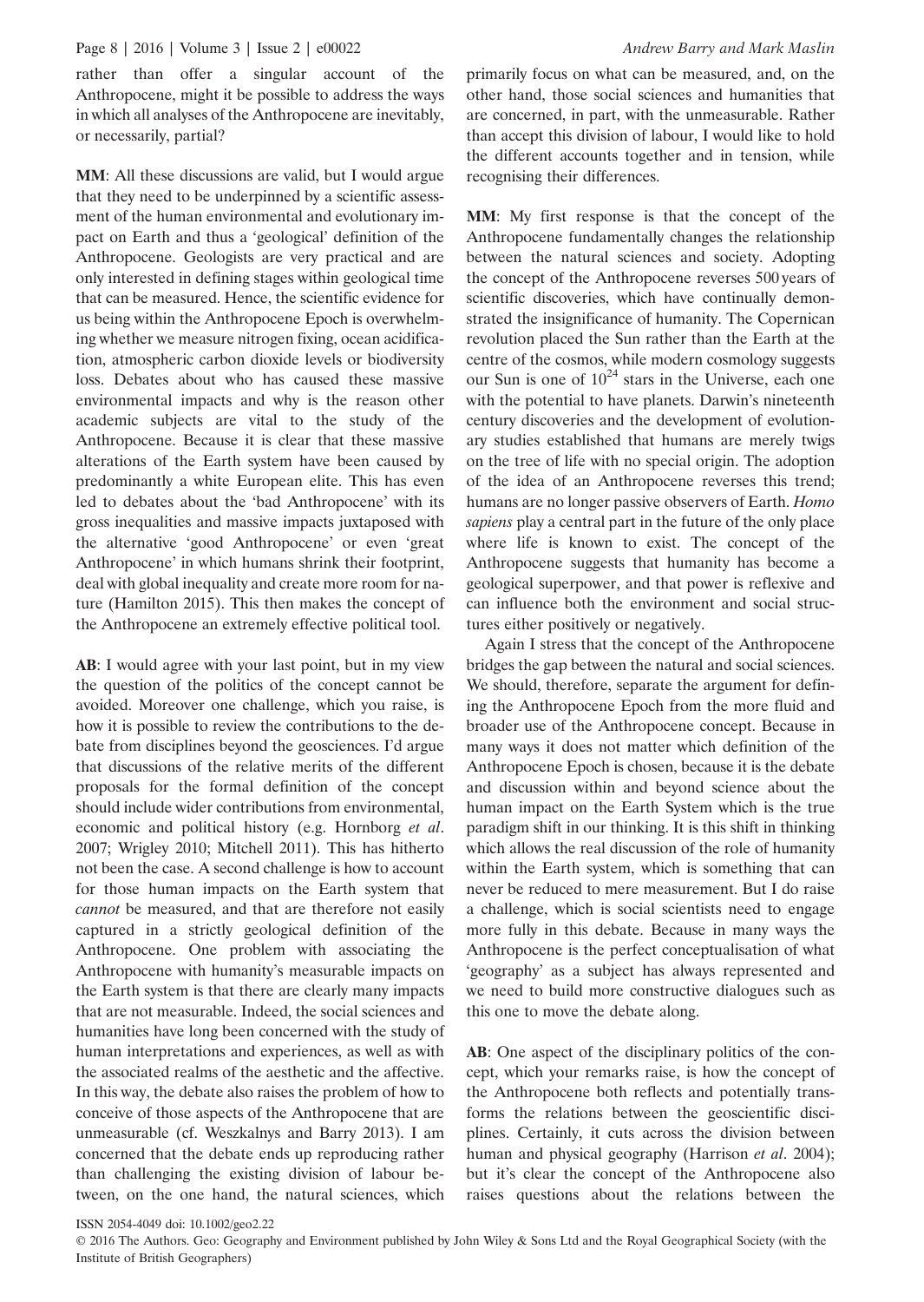rather than offer a singular account of the Anthropocene, might it be possible to address the ways in which all analyses of the Anthropocene are inevitably, or necessarily, partial?

MM: All these discussions are valid, but I would argue that they need to be underpinned by a scientific assessment of the human environmental and evolutionary impact on Earth and thus a 'geological' definition of the Anthropocene. Geologists are very practical and are only interested in defining stages within geological time that can be measured. Hence, the scientific evidence for us being within the Anthropocene Epoch is overwhelming whether we measure nitrogen fixing, ocean acidification, atmospheric carbon dioxide levels or biodiversity loss. Debates about who has caused these massive environmental impacts and why is the reason other academic subjects are vital to the study of the Anthropocene. Because it is clear that these massive alterations of the Earth system have been caused by predominantly a white European elite. This has even led to debates about the 'bad Anthropocene' with its gross inequalities and massive impacts juxtaposed with the alternative 'good Anthropocene' or even 'great Anthropocene' in which humans shrink their footprint, deal with global inequality and create more room for nature (Hamilton 2015). This then makes the concept of the Anthropocene an extremely effective political tool.

AB: I would agree with your last point, but in my view the question of the politics of the concept cannot be avoided. Moreover one challenge, which you raise, is how it is possible to review the contributions to the debate from disciplines beyond the geosciences. I'd argue that discussions of the relative merits of the different proposals for the formal definition of the concept should include wider contributions from environmental, economic and political history (e.g. Hornborg et al. 2007; Wrigley 2010; Mitchell 2011). This has hitherto not been the case. A second challenge is how to account for those human impacts on the Earth system that cannot be measured, and that are therefore not easily captured in a strictly geological definition of the Anthropocene. One problem with associating the Anthropocene with humanity's measurable impacts on the Earth system is that there are clearly many impacts that are not measurable. Indeed, the social sciences and humanities have long been concerned with the study of human interpretations and experiences, as well as with the associated realms of the aesthetic and the affective. In this way, the debate also raises the problem of how to conceive of those aspects of the Anthropocene that are unmeasurable (cf. Weszkalnys and Barry 2013). I am concerned that the debate ends up reproducing rather than challenging the existing division of labour between, on the one hand, the natural sciences, which

primarily focus on what can be measured, and, on the other hand, those social sciences and humanities that are concerned, in part, with the unmeasurable. Rather than accept this division of labour, I would like to hold the different accounts together and in tension, while recognising their differences.

MM: My first response is that the concept of the Anthropocene fundamentally changes the relationship between the natural sciences and society. Adopting the concept of the Anthropocene reverses 500 years of scientific discoveries, which have continually demonstrated the insignificance of humanity. The Copernican revolution placed the Sun rather than the Earth at the centre of the cosmos, while modern cosmology suggests our Sun is one of  $10^{24}$  stars in the Universe, each one with the potential to have planets. Darwin's nineteenth century discoveries and the development of evolutionary studies established that humans are merely twigs on the tree of life with no special origin. The adoption of the idea of an Anthropocene reverses this trend; humans are no longer passive observers of Earth. Homo sapiens play a central part in the future of the only place where life is known to exist. The concept of the Anthropocene suggests that humanity has become a geological superpower, and that power is reflexive and can influence both the environment and social structures either positively or negatively.

Again I stress that the concept of the Anthropocene bridges the gap between the natural and social sciences. We should, therefore, separate the argument for defining the Anthropocene Epoch from the more fluid and broader use of the Anthropocene concept. Because in many ways it does not matter which definition of the Anthropocene Epoch is chosen, because it is the debate and discussion within and beyond science about the human impact on the Earth System which is the true paradigm shift in our thinking. It is this shift in thinking which allows the real discussion of the role of humanity within the Earth system, which is something that can never be reduced to mere measurement. But I do raise a challenge, which is social scientists need to engage more fully in this debate. Because in many ways the Anthropocene is the perfect conceptualisation of what 'geography' as a subject has always represented and we need to build more constructive dialogues such as this one to move the debate along.

AB: One aspect of the disciplinary politics of the concept, which your remarks raise, is how the concept of the Anthropocene both reflects and potentially transforms the relations between the geoscientific disciplines. Certainly, it cuts across the division between human and physical geography (Harrison et al. 2004); but it's clear the concept of the Anthropocene also raises questions about the relations between the

ISSN 2054-4049 doi: 10.1002/geo2.22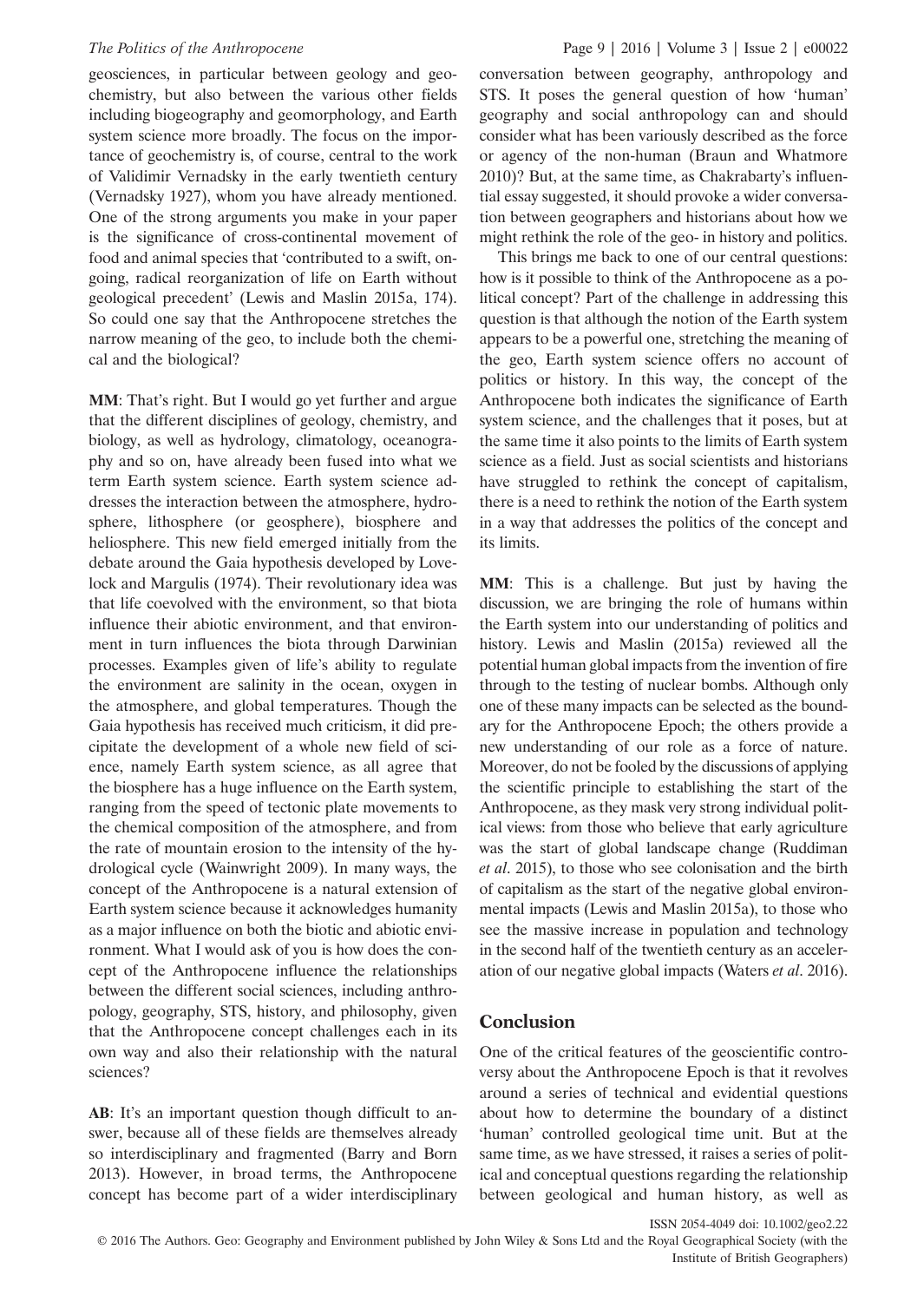geosciences, in particular between geology and geochemistry, but also between the various other fields including biogeography and geomorphology, and Earth system science more broadly. The focus on the importance of geochemistry is, of course, central to the work of Validimir Vernadsky in the early twentieth century (Vernadsky 1927), whom you have already mentioned. One of the strong arguments you make in your paper is the significance of cross-continental movement of food and animal species that 'contributed to a swift, ongoing, radical reorganization of life on Earth without geological precedent' (Lewis and Maslin 2015a, 174). So could one say that the Anthropocene stretches the narrow meaning of the geo, to include both the chemical and the biological?

MM: That's right. But I would go yet further and argue that the different disciplines of geology, chemistry, and biology, as well as hydrology, climatology, oceanography and so on, have already been fused into what we term Earth system science. Earth system science addresses the interaction between the atmosphere, hydrosphere, lithosphere (or geosphere), biosphere and heliosphere. This new field emerged initially from the debate around the Gaia hypothesis developed by Lovelock and Margulis (1974). Their revolutionary idea was that life coevolved with the environment, so that biota influence their abiotic environment, and that environment in turn influences the biota through Darwinian processes. Examples given of life's ability to regulate the environment are salinity in the ocean, oxygen in the atmosphere, and global temperatures. Though the Gaia hypothesis has received much criticism, it did precipitate the development of a whole new field of science, namely Earth system science, as all agree that the biosphere has a huge influence on the Earth system, ranging from the speed of tectonic plate movements to the chemical composition of the atmosphere, and from the rate of mountain erosion to the intensity of the hydrological cycle (Wainwright 2009). In many ways, the concept of the Anthropocene is a natural extension of Earth system science because it acknowledges humanity as a major influence on both the biotic and abiotic environment. What I would ask of you is how does the concept of the Anthropocene influence the relationships between the different social sciences, including anthropology, geography, STS, history, and philosophy, given that the Anthropocene concept challenges each in its own way and also their relationship with the natural sciences?

AB: It's an important question though difficult to answer, because all of these fields are themselves already so interdisciplinary and fragmented (Barry and Born 2013). However, in broad terms, the Anthropocene concept has become part of a wider interdisciplinary

conversation between geography, anthropology and STS. It poses the general question of how 'human' geography and social anthropology can and should consider what has been variously described as the force or agency of the non-human (Braun and Whatmore 2010)? But, at the same time, as Chakrabarty's influential essay suggested, it should provoke a wider conversation between geographers and historians about how we might rethink the role of the geo- in history and politics.

This brings me back to one of our central questions: how is it possible to think of the Anthropocene as a political concept? Part of the challenge in addressing this question is that although the notion of the Earth system appears to be a powerful one, stretching the meaning of the geo, Earth system science offers no account of politics or history. In this way, the concept of the Anthropocene both indicates the significance of Earth system science, and the challenges that it poses, but at the same time it also points to the limits of Earth system science as a field. Just as social scientists and historians have struggled to rethink the concept of capitalism, there is a need to rethink the notion of the Earth system in a way that addresses the politics of the concept and its limits.

MM: This is a challenge. But just by having the discussion, we are bringing the role of humans within the Earth system into our understanding of politics and history. Lewis and Maslin (2015a) reviewed all the potential human global impacts from the invention of fire through to the testing of nuclear bombs. Although only one of these many impacts can be selected as the boundary for the Anthropocene Epoch; the others provide a new understanding of our role as a force of nature. Moreover, do not be fooled by the discussions of applying the scientific principle to establishing the start of the Anthropocene, as they mask very strong individual political views: from those who believe that early agriculture was the start of global landscape change (Ruddiman et al. 2015), to those who see colonisation and the birth of capitalism as the start of the negative global environmental impacts (Lewis and Maslin 2015a), to those who see the massive increase in population and technology in the second half of the twentieth century as an acceleration of our negative global impacts (Waters et al. 2016).

### Conclusion

One of the critical features of the geoscientific controversy about the Anthropocene Epoch is that it revolves around a series of technical and evidential questions about how to determine the boundary of a distinct 'human' controlled geological time unit. But at the same time, as we have stressed, it raises a series of political and conceptual questions regarding the relationship between geological and human history, as well as

ISSN 2054-4049 doi: 10.1002/geo2.22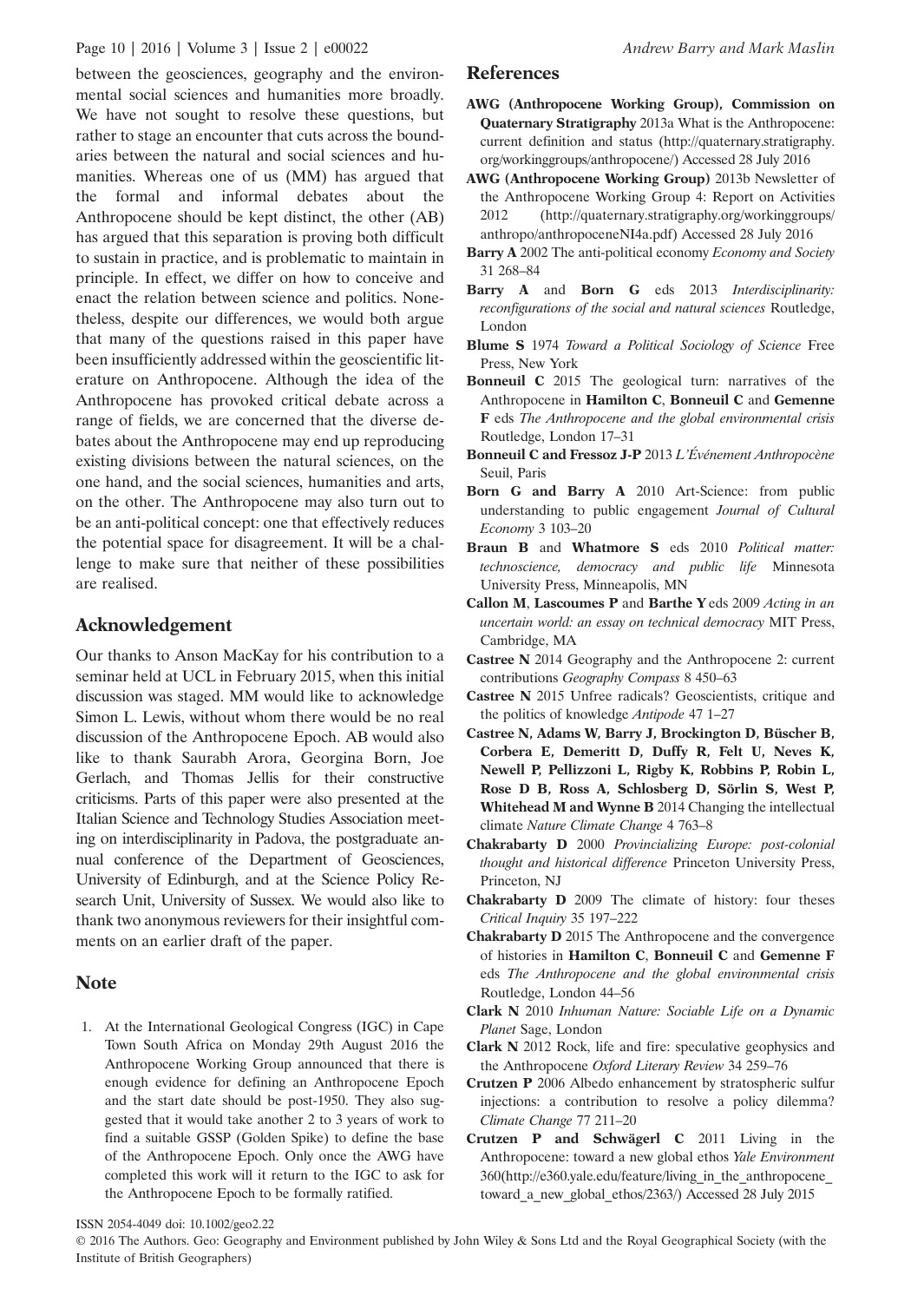between the geosciences, geography and the environmental social sciences and humanities more broadly. We have not sought to resolve these questions, but rather to stage an encounter that cuts across the boundaries between the natural and social sciences and humanities. Whereas one of us (MM) has argued that the formal and informal debates about the Anthropocene should be kept distinct, the other (AB) has argued that this separation is proving both difficult to sustain in practice, and is problematic to maintain in principle. In effect, we differ on how to conceive and enact the relation between science and politics. Nonetheless, despite our differences, we would both argue that many of the questions raised in this paper have been insufficiently addressed within the geoscientific literature on Anthropocene. Although the idea of the Anthropocene has provoked critical debate across a range of fields, we are concerned that the diverse debates about the Anthropocene may end up reproducing existing divisions between the natural sciences, on the one hand, and the social sciences, humanities and arts, on the other. The Anthropocene may also turn out to be an anti-political concept: one that effectively reduces the potential space for disagreement. It will be a challenge to make sure that neither of these possibilities are realised.

### Acknowledgement

Our thanks to Anson MacKay for his contribution to a seminar held at UCL in February 2015, when this initial discussion was staged. MM would like to acknowledge Simon L. Lewis, without whom there would be no real discussion of the Anthropocene Epoch. AB would also like to thank Saurabh Arora, Georgina Born, Joe Gerlach, and Thomas Jellis for their constructive criticisms. Parts of this paper were also presented at the Italian Science and Technology Studies Association meeting on interdisciplinarity in Padova, the postgraduate annual conference of the Department of Geosciences, University of Edinburgh, and at the Science Policy Research Unit, University of Sussex. We would also like to thank two anonymous reviewers for their insightful comments on an earlier draft of the paper.

### Note

1. At the International Geological Congress (IGC) in Cape Town South Africa on Monday 29th August 2016 the Anthropocene Working Group announced that there is enough evidence for defining an Anthropocene Epoch and the start date should be post-1950. They also suggested that it would take another 2 to 3 years of work to find a suitable GSSP (Golden Spike) to define the base of the Anthropocene Epoch. Only once the AWG have completed this work will it return to the IGC to ask for the Anthropocene Epoch to be formally ratified.

### References

- AWG (Anthropocene Working Group), Commission on Quaternary Stratigraphy 2013a What is the Anthropocene: current definition and status ([http://quaternary.stratigraphy.](http://quaternary.stratigraphy.org/workinggroups/anthropocene/) [org/workinggroups/anthropocene/\)](http://quaternary.stratigraphy.org/workinggroups/anthropocene/) Accessed 28 July 2016
- AWG (Anthropocene Working Group) 2013b Newsletter of the Anthropocene Working Group 4: Report on Activities 2012 ([http://quaternary.stratigraphy.org/workinggroups/](http://quaternary.stratigraphy.org/workinggroups/anthropo/anthropoceneNI4a.pdf) [anthropo/anthropoceneNI4a.pdf](http://quaternary.stratigraphy.org/workinggroups/anthropo/anthropoceneNI4a.pdf)) Accessed 28 July 2016
- Barry A 2002 The anti-political economy *Economy and Society* 31 268–84
- Barry A and Born G eds 2013 Interdisciplinarity: reconfigurations of the social and natural sciences Routledge, London
- Blume S 1974 Toward a Political Sociology of Science Free Press, New York
- Bonneuil C 2015 The geological turn: narratives of the Anthropocene in Hamilton C, Bonneuil C and Gemenne F eds The Anthropocene and the global environmental crisis Routledge, London 17–31
- Bonneuil C and Fressoz J-P 2013 L'Événement Anthropocène Seuil, Paris
- Born G and Barry A 2010 Art-Science: from public understanding to public engagement Journal of Cultural Economy 3 103–20
- Braun B and Whatmore S eds 2010 Political matter: technoscience, democracy and public life Minnesota University Press, Minneapolis, MN
- Callon M, Lascoumes P and Barthe Y eds 2009 Acting in an uncertain world: an essay on technical democracy MIT Press, Cambridge, MA
- Castree N 2014 Geography and the Anthropocene 2: current contributions Geography Compass 8 450–63
- Castree N 2015 Unfree radicals? Geoscientists, critique and the politics of knowledge Antipode 47 1–27
- Castree N, Adams W, Barry J, Brockington D, Büscher B, Corbera E, Demeritt D, Duffy R, Felt U, Neves K, Newell P, Pellizzoni L, Rigby K, Robbins P, Robin L, Rose D B, Ross A, Schlosberg D, Sörlin S, West P, Whitehead M and Wynne B 2014 Changing the intellectual climate Nature Climate Change 4 763–8
- Chakrabarty D 2000 Provincializing Europe: post-colonial thought and historical difference Princeton University Press, Princeton, NJ
- Chakrabarty D 2009 The climate of history: four theses Critical Inquiry 35 197–222
- Chakrabarty D 2015 The Anthropocene and the convergence of histories in Hamilton C, Bonneuil C and Gemenne F eds The Anthropocene and the global environmental crisis Routledge, London 44–56
- Clark N 2010 Inhuman Nature: Sociable Life on a Dynamic Planet Sage, London
- Clark N 2012 Rock, life and fire: speculative geophysics and the Anthropocene Oxford Literary Review 34 259–76
- Crutzen P 2006 Albedo enhancement by stratospheric sulfur injections: a contribution to resolve a policy dilemma? Climate Change 77 211–20
- Crutzen P and Schwägerl C 2011 Living in the Anthropocene: toward a new global ethos Yale Environment 360[\(http://e360.yale.edu/feature/living\\_in\\_the\\_anthropocene\\_](http://e360.yale.edu/feature/living_in_the_anthropocene_toward_a_new_global_ethos/2363/) [toward\\_a\\_new\\_global\\_ethos/2363/\)](http://e360.yale.edu/feature/living_in_the_anthropocene_toward_a_new_global_ethos/2363/) Accessed 28 July 2015

ISSN 2054-4049 doi: 10.1002/geo2.22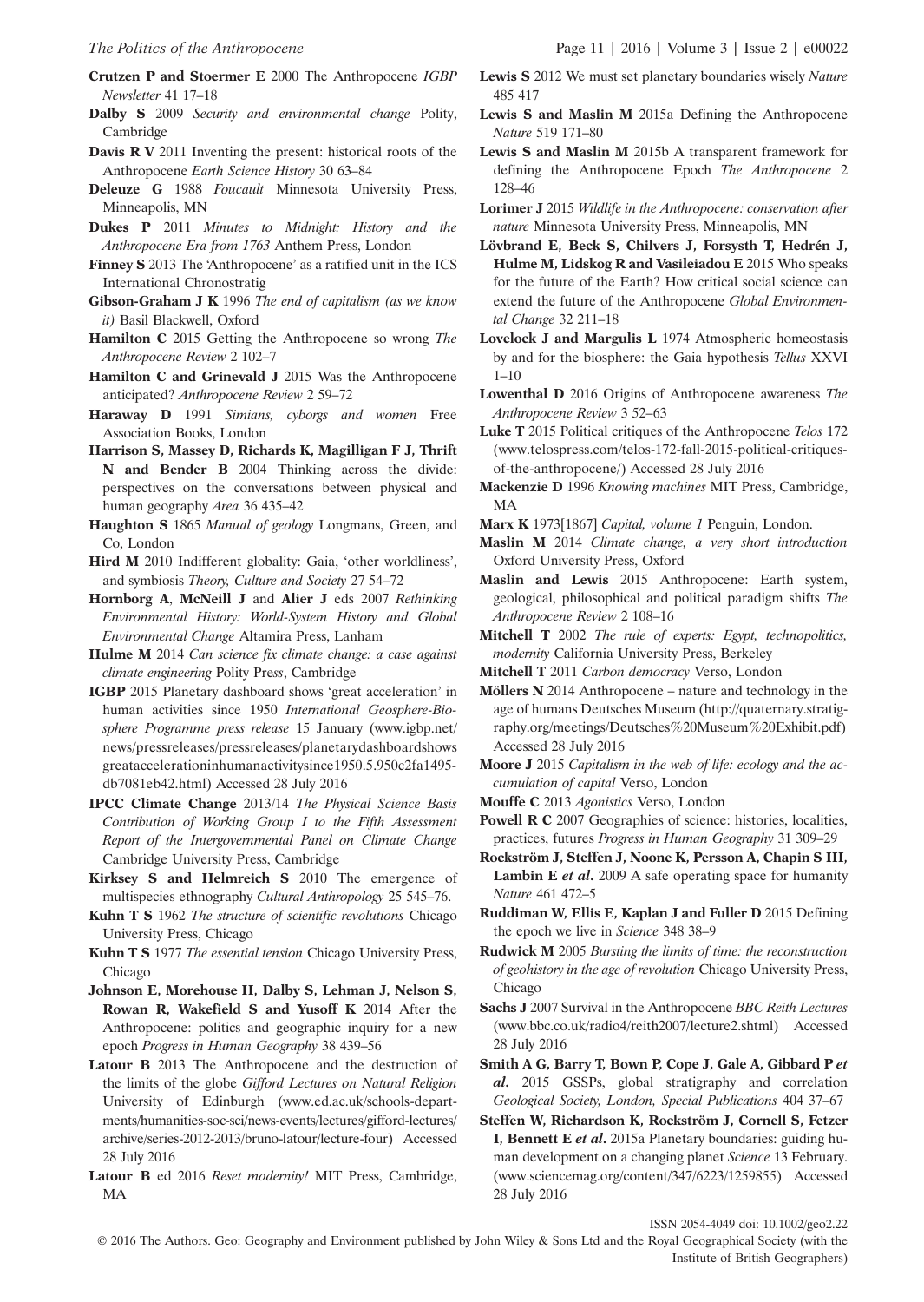- Crutzen P and Stoermer E 2000 The Anthropocene IGBP Newsletter 41 17–18
- Dalby S 2009 Security and environmental change Polity, Cambridge
- Davis R V 2011 Inventing the present: historical roots of the Anthropocene Earth Science History 30 63–84
- Deleuze G 1988 Foucault Minnesota University Press, Minneapolis, MN
- Dukes P 2011 Minutes to Midnight: History and the Anthropocene Era from 1763 Anthem Press, London
- Finney S 2013 The 'Anthropocene' as a ratified unit in the ICS International Chronostratig
- Gibson-Graham J K 1996 The end of capitalism (as we know it) Basil Blackwell, Oxford
- Hamilton C 2015 Getting the Anthropocene so wrong The Anthropocene Review 2 102–7
- Hamilton C and Grinevald J 2015 Was the Anthropocene anticipated? Anthropocene Review 2 59–72
- Haraway D 1991 Simians, cyborgs and women Free Association Books, London
- Harrison S, Massey D, Richards K, Magilligan F J, Thrift N and Bender B 2004 Thinking across the divide: perspectives on the conversations between physical and human geography Area 36 435–42
- Haughton S 1865 Manual of geology Longmans, Green, and Co, London
- Hird M 2010 Indifferent globality: Gaia, 'other worldliness', and symbiosis Theory, Culture and Society 27 54–72
- Hornborg A, McNeill J and Alier J eds 2007 Rethinking Environmental History: World-System History and Global Environmental Change Altamira Press, Lanham
- Hulme M 2014 Can science fix climate change: a case against climate engineering Polity Press, Cambridge
- IGBP 2015 Planetary dashboard shows 'great acceleration' in human activities since 1950 International Geosphere-Bio-sphere Programme press release 15 January [\(www.igbp.net/](http://www.igbp.net/news/pressreleases/pressreleases/planetarydashboardshowsgreataccelerationinhumanactivitysince1950.5.950c2fa1495db7081eb42.html) [news/pressreleases/pressreleases/planetarydashboardshows](http://www.igbp.net/news/pressreleases/pressreleases/planetarydashboardshowsgreataccelerationinhumanactivitysince1950.5.950c2fa1495db7081eb42.html) [greataccelerationinhumanactivitysince1950.5.950c2fa1495](http://www.igbp.net/news/pressreleases/pressreleases/planetarydashboardshowsgreataccelerationinhumanactivitysince1950.5.950c2fa1495db7081eb42.html) [db7081eb42.html\)](http://www.igbp.net/news/pressreleases/pressreleases/planetarydashboardshowsgreataccelerationinhumanactivitysince1950.5.950c2fa1495db7081eb42.html) Accessed 28 July 2016
- IPCC Climate Change 2013/14 The Physical Science Basis Contribution of Working Group I to the Fifth Assessment Report of the Intergovernmental Panel on Climate Change Cambridge University Press, Cambridge
- Kirksey S and Helmreich S 2010 The emergence of multispecies ethnography Cultural Anthropology 25 545–76.
- Kuhn T S 1962 The structure of scientific revolutions Chicago University Press, Chicago
- Kuhn T S 1977 The essential tension Chicago University Press, Chicago
- Johnson E, Morehouse H, Dalby S, Lehman J, Nelson S, Rowan R, Wakefield S and Yusoff K 2014 After the Anthropocene: politics and geographic inquiry for a new epoch Progress in Human Geography 38 439–56
- Latour B 2013 The Anthropocene and the destruction of the limits of the globe Gifford Lectures on Natural Religion University of Edinburgh [\(www.ed.ac.uk/schools-depart](http://www.ed.ac.uk/schools-departments/humanities-soc-sci/news-events/lectures/gifford-lectures/archive/series-2012-2013/bruno-latour/lecture-four)[ments/humanities-soc-sci/news-events/lectures/gifford-lectures/](http://www.ed.ac.uk/schools-departments/humanities-soc-sci/news-events/lectures/gifford-lectures/archive/series-2012-2013/bruno-latour/lecture-four) [archive/series-2012-2013/bruno-latour/lecture-four](http://www.ed.ac.uk/schools-departments/humanities-soc-sci/news-events/lectures/gifford-lectures/archive/series-2012-2013/bruno-latour/lecture-four)) Accessed 28 July 2016
- Latour B ed 2016 Reset modernity! MIT Press, Cambridge, MA
- Lewis S 2012 We must set planetary boundaries wisely Nature 485 417
- Lewis S and Maslin M 2015a Defining the Anthropocene Nature 519 171–80
- Lewis S and Maslin M 2015b A transparent framework for defining the Anthropocene Epoch The Anthropocene 2 128–46
- Lorimer J 2015 Wildlife in the Anthropocene: conservation after nature Minnesota University Press, Minneapolis, MN
- Lövbrand E, Beck S, Chilvers J, Forsysth T, Hedrén J, Hulme M, Lidskog R and Vasileiadou E 2015 Who speaks for the future of the Earth? How critical social science can extend the future of the Anthropocene Global Environmental Change 32 211–18
- Lovelock J and Margulis L 1974 Atmospheric homeostasis by and for the biosphere: the Gaia hypothesis Tellus XXVI  $1 - 10$
- Lowenthal D 2016 Origins of Anthropocene awareness The Anthropocene Review 3 52–63
- Luke T 2015 Political critiques of the Anthropocene Telos 172 [\(www.telospress.com/telos-172-fall-2015-political-critiques](http://www.telospress.com/telos-172-fall-2015-political-critiques-of-the-anthropocene/)[of-the-anthropocene/](http://www.telospress.com/telos-172-fall-2015-political-critiques-of-the-anthropocene/)) Accessed 28 July 2016
- Mackenzie D 1996 Knowing machines MIT Press, Cambridge, MA
- Marx K 1973[1867] Capital, volume 1 Penguin, London.
- Maslin M 2014 Climate change, a very short introduction Oxford University Press, Oxford
- Maslin and Lewis 2015 Anthropocene: Earth system, geological, philosophical and political paradigm shifts The Anthropocene Review 2 108–16
- Mitchell T 2002 The rule of experts: Egypt, technopolitics, modernity California University Press, Berkeley
- Mitchell T 2011 Carbon democracy Verso, London
- Möllers N 2014 Anthropocene nature and technology in the age of humans Deutsches Museum [\(http://quaternary.stratig](http://quaternary.stratigraphy.org/meetings/Deutsches%20Museum%20Exhibit.pdf)[raphy.org/meetings/Deutsches%20Museum%20Exhibit.pdf](http://quaternary.stratigraphy.org/meetings/Deutsches%20Museum%20Exhibit.pdf)) Accessed 28 July 2016
- Moore J 2015 Capitalism in the web of life: ecology and the accumulation of capital Verso, London
- Mouffe C 2013 Agonistics Verso, London
- Powell R C 2007 Geographies of science: histories, localities, practices, futures Progress in Human Geography 31 309–29
- Rockström J, Steffen J, Noone K, Persson A, Chapin S III, **Lambin E et al.** 2009 A safe operating space for humanity Nature 461 472–5
- Ruddiman W, Ellis E, Kaplan J and Fuller D 2015 Defining the epoch we live in Science 348 38–9
- Rudwick M 2005 Bursting the limits of time: the reconstruction of geohistory in the age of revolution Chicago University Press, Chicago
- Sachs J 2007 Survival in the Anthropocene BBC Reith Lectures [\(www.bbc.co.uk/radio4/reith2007/lecture2.shtml\)](http://www.bbc.co.uk/radio4/reith2007/lecture2.shtml) Accessed 28 July 2016
- Smith A G, Barry T, Bown P, Cope J, Gale A, Gibbard P et al. 2015 GSSPs, global stratigraphy and correlation Geological Society, London, Special Publications 404 37–67
- Steffen W, Richardson K, Rockström J, Cornell S, Fetzer I, Bennett E et al. 2015a Planetary boundaries: guiding human development on a changing planet Science 13 February. [\(www.sciencemag.org/content/347/6223/1259855](http://www.sciencemag.org/content/347/6223/1259855)) Accessed 28 July 2016

ISSN 2054-4049 doi: 10.1002/geo2.22